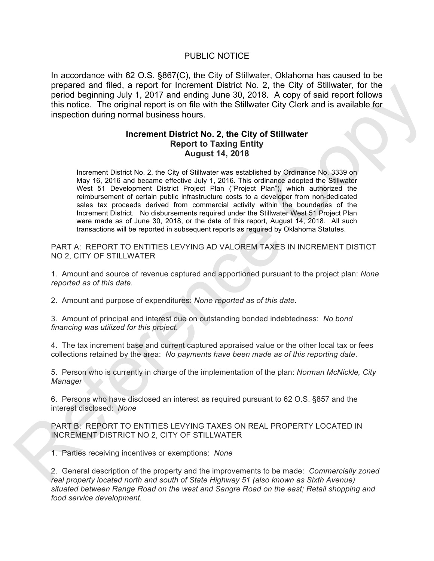## PUBLIC NOTICE

In accordance with 62 O.S. §867(C), the City of Stillwater, Oklahoma has caused to be prepared and filed, a report for Increment District No. 2, the City of Stillwater, for the period beginning July 1, 2017 and ending June 30, 2018. A copy of said report follows this notice. The original report is on file with the Stillwater City Clerk and is available for inspection during normal business hours.

## **Increment District No. 2, the City of Stillwater Report to Taxing Entity August 14, 2018**

Increment District No. 2, the City of Stillwater was established by Ordinance No. 3339 on May 16, 2016 and became effective July 1, 2016. This ordinance adopted the Stillwater West 51 Development District Project Plan ("Project Plan"), which authorized the reimbursement of certain public infrastructure costs to a developer from non-dedicated sales tax proceeds derived from commercial activity within the boundaries of the Increment District. No disbursements required under the Stillwater West 51 Project Plan were made as of June 30, 2018, or the date of this report, August 14, 2018. All such transactions will be reported in subsequent reports as required by Oklahoma Statutes. prepared and microscopy and microficenteric Users (2). Are Copy of Salud eport in the particle separation (1) and enormy of the microscopy of salud eport in December 16. enormy the microscopy of salud eport in the Stillwat

PART A: REPORT TO ENTITIES LEVYING AD VALOREM TAXES IN INCREMENT DISTICT NO 2, CITY OF STILLWATER

1. Amount and source of revenue captured and apportioned pursuant to the project plan: *None reported as of this date.*

2. Amount and purpose of expenditures: *None reported as of this date*.

3. Amount of principal and interest due on outstanding bonded indebtedness: *No bond financing was utilized for this project*.

4. The tax increment base and current captured appraised value or the other local tax or fees collections retained by the area: *No payments have been made as of this reporting date*.

5. Person who is currently in charge of the implementation of the plan: *Norman McNickle, City Manager*

6. Persons who have disclosed an interest as required pursuant to 62 O.S. §857 and the interest disclosed: *None*

PART B: REPORT TO ENTITIES LEVYING TAXES ON REAL PROPERTY LOCATED IN INCREMENT DISTRICT NO 2, CITY OF STILLWATER

1. Parties receiving incentives or exemptions: *None*

2. General description of the property and the improvements to be made: *Commercially zoned real property located north and south of State Highway 51 (also known as Sixth Avenue) situated between Range Road on the west and Sangre Road on the east; Retail shopping and food service development.*